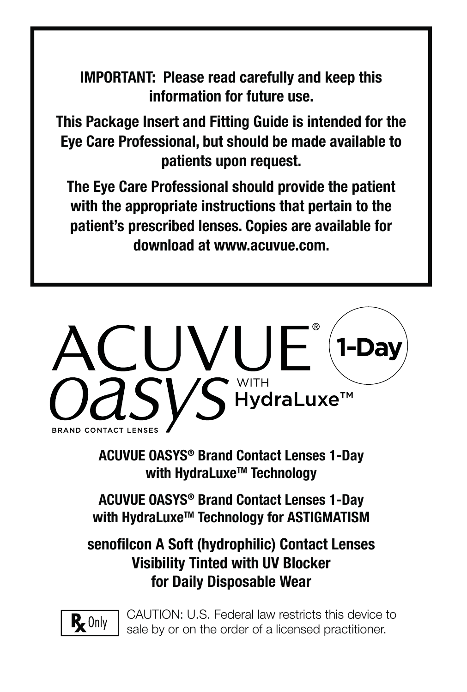**IMPORTANT: Please read carefully and keep this information for future use.**

**This Package Insert and Fitting Guide is intended for the Eye Care Professional, but should be made available to patients upon request.** 

**The Eye Care Professional should provide the patient with the appropriate instructions that pertain to the patient's prescribed lenses. Copies are available for download at www.acuvue.com.**



**ACUVUE OASYS® Brand Contact Lenses 1-Day with HydraLuxeTM Technology**

**ACUVUE OASYS® Brand Contact Lenses 1-Day**  with HydraLuxe<sup>™</sup> Technology for ASTIGMATISM

**senofi lcon A Soft (hydrophilic) Contact Lenses Visibility Tinted with UV Blocker for Daily Disposable Wear**



CAUTION: U.S. Federal law restricts this device to sale by or on the order of a licensed practitioner.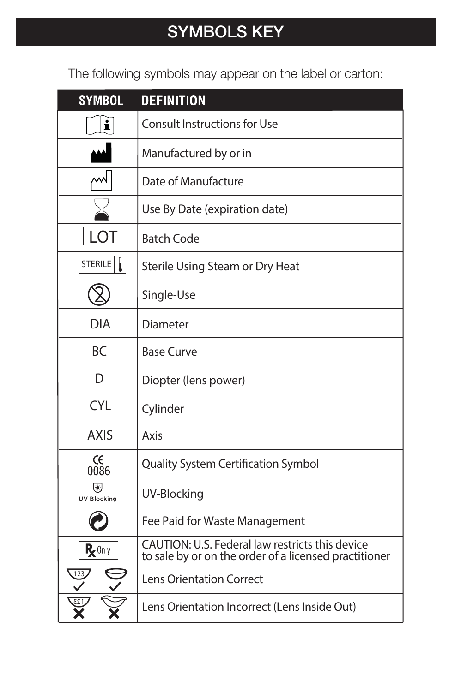The following symbols may appear on the label or carton:

| <b>SYMBOL</b>           | <b>DEFINITION</b>                                                                                        |
|-------------------------|----------------------------------------------------------------------------------------------------------|
| $\mathbf i$             | <b>Consult Instructions for Use</b>                                                                      |
|                         | Manufactured by or in                                                                                    |
|                         | Date of Manufacture                                                                                      |
|                         | Use By Date (expiration date)                                                                            |
| LO I                    | <b>Batch Code</b>                                                                                        |
| STERILE                 | Sterile Using Steam or Dry Heat                                                                          |
|                         | Single-Use                                                                                               |
| <b>DIA</b>              | <b>Diameter</b>                                                                                          |
| <b>BC</b>               | <b>Base Curve</b>                                                                                        |
| D                       | Diopter (lens power)                                                                                     |
| <b>CYL</b>              | Cylinder                                                                                                 |
| <b>AXIS</b>             | Axis                                                                                                     |
| CE<br>0086              | <b>Quality System Certification Symbol</b>                                                               |
| ◙<br><b>UV Blocking</b> | <b>UV-Blocking</b>                                                                                       |
|                         | Fee Paid for Waste Management                                                                            |
| $R_{\mathbf{z}}$ Only   | CAUTION: U.S. Federal law restricts this device<br>to sale by or on the order of a licensed practitioner |
|                         | <b>Lens Orientation Correct</b>                                                                          |
|                         | Lens Orientation Incorrect (Lens Inside Out)                                                             |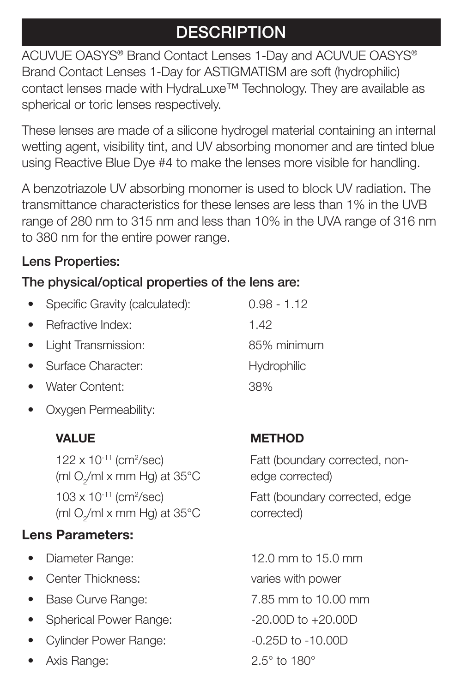# **DESCRIPTION**

ACUVUE OASYS® Brand Contact Lenses 1-Day and ACUVUE OASYS® Brand Contact Lenses 1-Day for ASTIGMATISM are soft (hydrophilic) contact lenses made with HydraLuxe™ Technology. They are available as spherical or toric lenses respectively.

These lenses are made of a silicone hydrogel material containing an internal wetting agent, visibility tint, and UV absorbing monomer and are tinted blue using Reactive Blue Dye #4 to make the lenses more visible for handling.

A benzotriazole UV absorbing monomer is used to block UV radiation. The transmittance characteristics for these lenses are less than 1% in the UVB range of 280 nm to 315 nm and less than 10% in the UVA range of 316 nm to 380 nm for the entire power range.

## **Lens Properties:**

## **The physical/optical properties of the lens are:**

- Specific Gravity (calculated): 0.98 1.12
- Refractive Index: 1.42
- Light Transmission: 85% minimum
- **Surface Character:** Hydrophilic
- Water Content: 38%
- Oxygen Permeability:

 $122 \times 10^{-11}$  (cm<sup>2</sup>/sec) (ml O<sub>2</sub>/ml x mm Hg) at 35°C 103 x 10-11 (cm2 /sec) (ml O $_2$ /ml x mm Hg) at 35°C

## **Lens Parameters:**

- 
- Center Thickness: varies with power
- Base Curve Range: 7.85 mm to 10.00 mm
- Spherical Power Range:  $-20.00D$  to  $+20.00D$
- Cylinder Power Range:  $-0.25D$  to -10.00D
- Axis Range: 2.5° to 180°

## **VALUE** METHOD

Fatt (boundary corrected, nonedge corrected) Fatt (boundary corrected, edge corrected)

• Diameter Range: 12.0 mm to 15.0 mm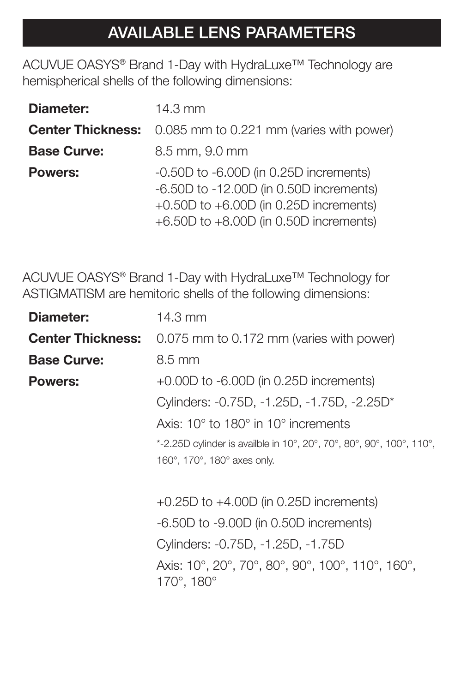# **AVAILABLE LENS PARAMETERS**

ACUVUE OASYS® Brand 1-Day with HydraLuxe™ Technology are hemispherical shells of the following dimensions:

| Diameter:          | $14.3$ mm                                                                                                                                                                           |  |
|--------------------|-------------------------------------------------------------------------------------------------------------------------------------------------------------------------------------|--|
|                    | <b>Center Thickness:</b> 0.085 mm to 0.221 mm (varies with power)                                                                                                                   |  |
| <b>Base Curve:</b> | 8.5 mm, 9.0 mm                                                                                                                                                                      |  |
| <b>Powers:</b>     | $-0.50D$ to $-6.00D$ (in 0.25D increments)<br>$-6.50D$ to $-12.00D$ (in 0.50D increments)<br>+0.50D to $+6.00D$ (in 0.25D increments)<br>$+6.50D$ to $+8.00D$ (in 0.50D increments) |  |

ACUVUE OASYS® Brand 1-Day with HydraLuxe™ Technology for ASTIGMATISM are hemitoric shells of the following dimensions:

| Diameter:          | 14.3 mm                                                                            |
|--------------------|------------------------------------------------------------------------------------|
|                    | <b>Center Thickness:</b> 0.075 mm to 0.172 mm (varies with power)                  |
| <b>Base Curve:</b> | 8.5 mm                                                                             |
| <b>Powers:</b>     | $+0.00D$ to $-6.00D$ (in 0.25D increments)                                         |
|                    | Cylinders: -0.75D, -1.25D, -1.75D, -2.25D*                                         |
|                    | Axis: $10^{\circ}$ to $180^{\circ}$ in $10^{\circ}$ increments                     |
|                    | *-2.25D cylinder is availble in 10°, 20°, 70°, 80°, 90°, 100°, 110°,               |
|                    | 160°, 170°, 180° axes only.                                                        |
|                    | $+0.25D$ to $+4.00D$ (in 0.25D increments)                                         |
|                    | $-6.50D$ to $-9.00D$ (in 0.50D increments)                                         |
|                    | Cylinders: -0.75D, -1.25D, -1.75D                                                  |
|                    | Axis: 10°, 20°, 70°, 80°, 90°, 100°, 110°, 160°,<br>$170^{\circ}$ , 180 $^{\circ}$ |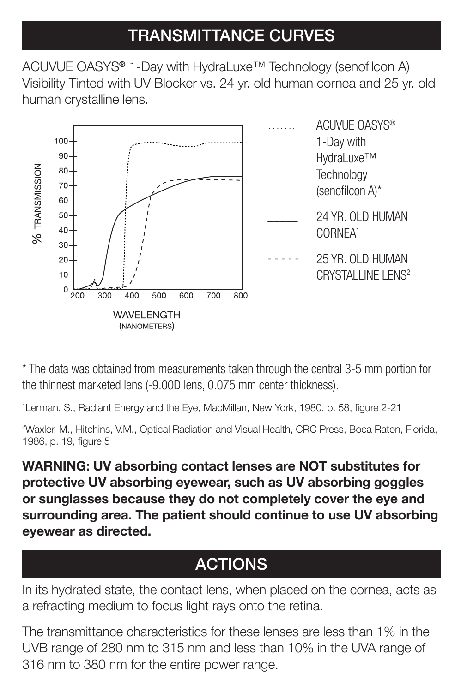# **TRANSMITTANCE CURVES**

ACUVUE OASYS<sup>®</sup> 1-Day with HydraLuxe<sup>™</sup> Technology (senofilcon A) Visibility Tinted with UV Blocker vs. 24 yr. old human cornea and 25 yr. old human crystalline lens.



\* The data was obtained from measurements taken through the central 3-5 mm portion for the thinnest marketed lens (-9.00D lens, 0.075 mm center thickness).

<sup>1</sup> Lerman, S., Radiant Energy and the Eye, MacMillan, New York, 1980, p. 58, figure 2-21

2 Waxler, M., Hitchins, V.M., Optical Radiation and Visual Health, CRC Press, Boca Raton, Florida, 1986, p. 19, figure 5

**WARNING: UV absorbing contact lenses are NOT substitutes for protective UV absorbing eyewear, such as UV absorbing goggles or sunglasses because they do not completely cover the eye and surrounding area. The patient should continue to use UV absorbing eyewear as directed.**

# **ACTIONS**

In its hydrated state, the contact lens, when placed on the cornea, acts as a refracting medium to focus light rays onto the retina.

The transmittance characteristics for these lenses are less than 1% in the UVB range of 280 nm to 315 nm and less than 10% in the UVA range of 316 nm to 380 nm for the entire power range.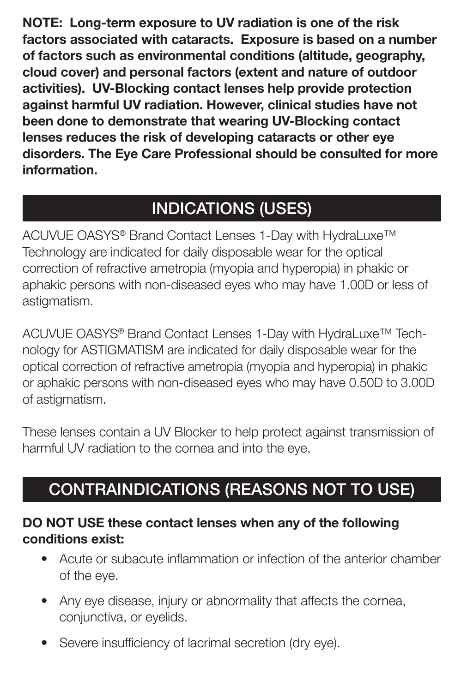**NOTE: Long-term exposure to UV radiation is one of the risk factors associated with cataracts. Exposure is based on a number of factors such as environmental conditions (altitude, geography, cloud cover) and personal factors (extent and nature of outdoor activities). UV-Blocking contact lenses help provide protection against harmful UV radiation. However, clinical studies have not been done to demonstrate that wearing UV-Blocking contact lenses reduces the risk of developing cataracts or other eye disorders. The Eye Care Professional should be consulted for more information.**

# **INDICATIONS (USES)**

ACUVUE OASYS® Brand Contact Lenses 1-Day with HydraLuxe™ Technology are indicated for daily disposable wear for the optical correction of refractive ametropia (myopia and hyperopia) in phakic or aphakic persons with non-diseased eyes who may have 1.00D or less of astigmatism.

ACUVUE OASYS® Brand Contact Lenses 1-Day with HydraLuxe™ Technology for ASTIGMATISM are indicated for daily disposable wear for the optical correction of refractive ametropia (myopia and hyperopia) in phakic or aphakic persons with non-diseased eyes who may have 0.50D to 3.00D of astigmatism.

These lenses contain a UV Blocker to help protect against transmission of harmful UV radiation to the cornea and into the eye.

# **CONTRAINDICATIONS (REASONS NOT TO USE)**

#### **DO NOT USE these contact lenses when any of the following conditions exist:**

- Acute or subacute inflammation or infection of the anterior chamber of the eye.
- Any eye disease, injury or abnormality that affects the cornea, conjunctiva, or eyelids.
- Severe insufficiency of lacrimal secretion (dry eye).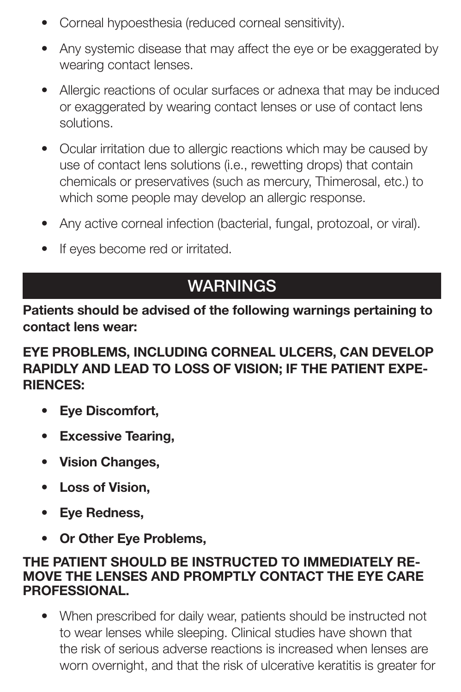- Corneal hypoesthesia (reduced corneal sensitivity).
- Any systemic disease that may affect the eye or be exaggerated by wearing contact lenses.
- Allergic reactions of ocular surfaces or adnexa that may be induced or exaggerated by wearing contact lenses or use of contact lens solutions.
- Ocular irritation due to allergic reactions which may be caused by use of contact lens solutions (i.e., rewetting drops) that contain chemicals or preservatives (such as mercury, Thimerosal, etc.) to which some people may develop an allergic response.
- Any active corneal infection (bacterial, fungal, protozoal, or viral).
- If eyes become red or irritated.

# **WARNINGS**

**Patients should be advised of the following warnings pertaining to contact lens wear:**

#### **EYE PROBLEMS, INCLUDING CORNEAL ULCERS, CAN DEVELOP RAPIDLY AND LEAD TO LOSS OF VISION; IF THE PATIENT EXPE-RIENCES:**

- **Eye Discomfort,**
- **Excessive Tearing,**
- **Vision Changes,**
- **Loss of Vision,**
- **Eye Redness,**
- **Or Other Eye Problems,**

#### **THE PATIENT SHOULD BE INSTRUCTED TO IMMEDIATELY RE-MOVE THE LENSES AND PROMPTLY CONTACT THE EYE CARE PROFESSIONAL.**

• When prescribed for daily wear, patients should be instructed not to wear lenses while sleeping. Clinical studies have shown that the risk of serious adverse reactions is increased when lenses are worn overnight, and that the risk of ulcerative keratitis is greater for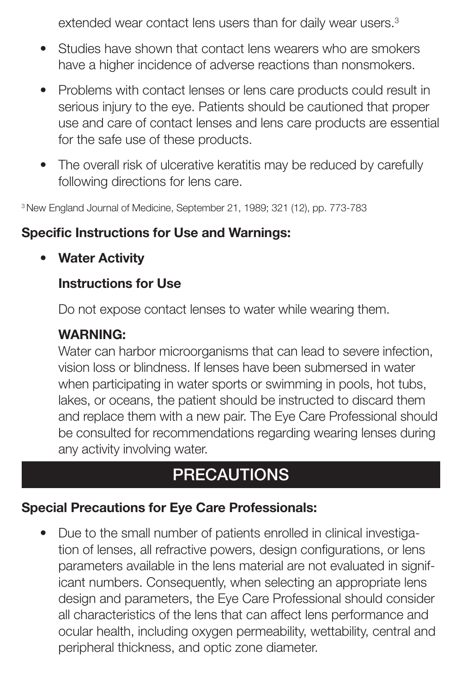extended wear contact lens users than for daily wear users.<sup>3</sup>

- Studies have shown that contact lens wearers who are smokers have a higher incidence of adverse reactions than nonsmokers.
- Problems with contact lenses or lens care products could result in serious injury to the eye. Patients should be cautioned that proper use and care of contact lenses and lens care products are essential for the safe use of these products.
- The overall risk of ulcerative keratitis may be reduced by carefully following directions for lens care.

3 New England Journal of Medicine, September 21, 1989; 321 (12), pp. 773-783

#### **Specific Instructions for Use and Warnings:**

**• Water Activity**

#### **Instructions for Use**

Do not expose contact lenses to water while wearing them.

#### **WARNING:**

Water can harbor microorganisms that can lead to severe infection, vision loss or blindness. If lenses have been submersed in water when participating in water sports or swimming in pools, hot tubs, lakes, or oceans, the patient should be instructed to discard them and replace them with a new pair. The Eye Care Professional should be consulted for recommendations regarding wearing lenses during any activity involving water.

## **PRECAUTIONS**

#### **Special Precautions for Eye Care Professionals:**

• Due to the small number of patients enrolled in clinical investigation of lenses, all refractive powers, design configurations, or lens parameters available in the lens material are not evaluated in significant numbers. Consequently, when selecting an appropriate lens design and parameters, the Eye Care Professional should consider all characteristics of the lens that can affect lens performance and ocular health, including oxygen permeability, wettability, central and peripheral thickness, and optic zone diameter.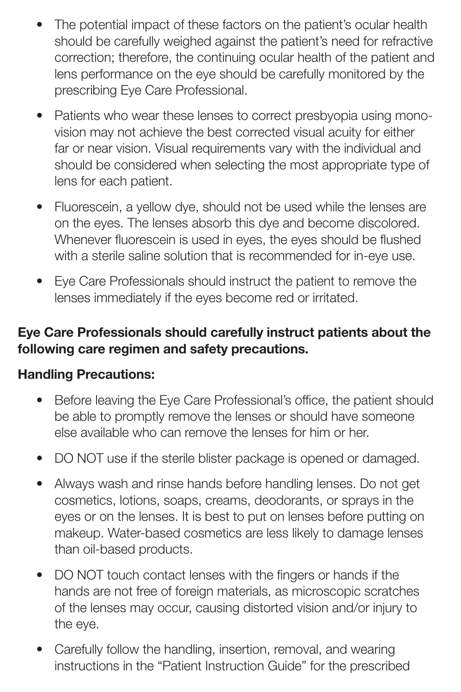- The potential impact of these factors on the patient's ocular health should be carefully weighed against the patient's need for refractive correction; therefore, the continuing ocular health of the patient and lens performance on the eye should be carefully monitored by the prescribing Eye Care Professional.
- Patients who wear these lenses to correct presbyopia using monovision may not achieve the best corrected visual acuity for either far or near vision. Visual requirements vary with the individual and should be considered when selecting the most appropriate type of lens for each patient.
- Fluorescein, a yellow dye, should not be used while the lenses are on the eyes. The lenses absorb this dye and become discolored. Whenever fluorescein is used in eyes, the eyes should be flushed with a sterile saline solution that is recommended for in-eye use.
- Eye Care Professionals should instruct the patient to remove the lenses immediately if the eyes become red or irritated.

#### **Eye Care Professionals should carefully instruct patients about the following care regimen and safety precautions.**

#### **Handling Precautions:**

- Before leaving the Eye Care Professional's office, the patient should be able to promptly remove the lenses or should have someone else available who can remove the lenses for him or her.
- DO NOT use if the sterile blister package is opened or damaged.
- Always wash and rinse hands before handling lenses. Do not get cosmetics, lotions, soaps, creams, deodorants, or sprays in the eyes or on the lenses. It is best to put on lenses before putting on makeup. Water-based cosmetics are less likely to damage lenses than oil-based products.
- DO NOT touch contact lenses with the fingers or hands if the hands are not free of foreign materials, as microscopic scratches of the lenses may occur, causing distorted vision and/or injury to the eye.
- Carefully follow the handling, insertion, removal, and wearing instructions in the "Patient Instruction Guide" for the prescribed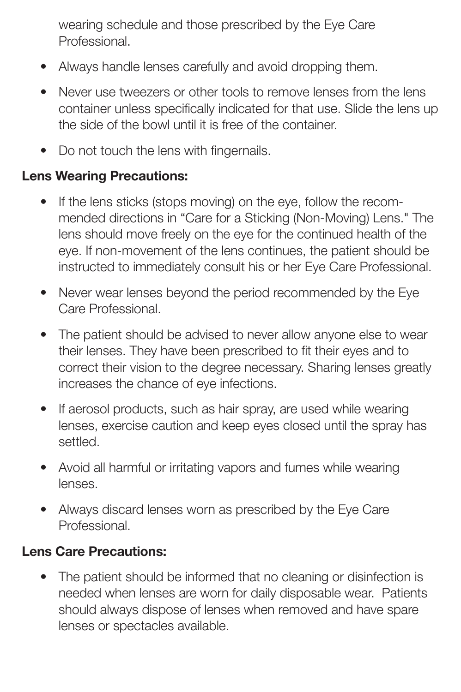wearing schedule and those prescribed by the Eye Care **Professional** 

- Always handle lenses carefully and avoid dropping them.
- Never use tweezers or other tools to remove lenses from the lens container unless specifically indicated for that use. Slide the lens up the side of the bowl until it is free of the container.
- Do not touch the lens with fingernails.

## **Lens Wearing Precautions:**

- If the lens sticks (stops moving) on the eye, follow the recommended directions in "Care for a Sticking (Non-Moving) Lens." The lens should move freely on the eye for the continued health of the eye. If non-movement of the lens continues, the patient should be instructed to immediately consult his or her Eye Care Professional.
- Never wear lenses beyond the period recommended by the Eye Care Professional.
- The patient should be advised to never allow anyone else to wear their lenses. They have been prescribed to fit their eyes and to correct their vision to the degree necessary. Sharing lenses greatly increases the chance of eye infections.
- If aerosol products, such as hair spray, are used while wearing lenses, exercise caution and keep eyes closed until the spray has settled.
- Avoid all harmful or irritating vapors and fumes while wearing lenses.
- Always discard lenses worn as prescribed by the Eye Care **Professional**

## **Lens Care Precautions:**

• The patient should be informed that no cleaning or disinfection is needed when lenses are worn for daily disposable wear. Patients should always dispose of lenses when removed and have spare lenses or spectacles available.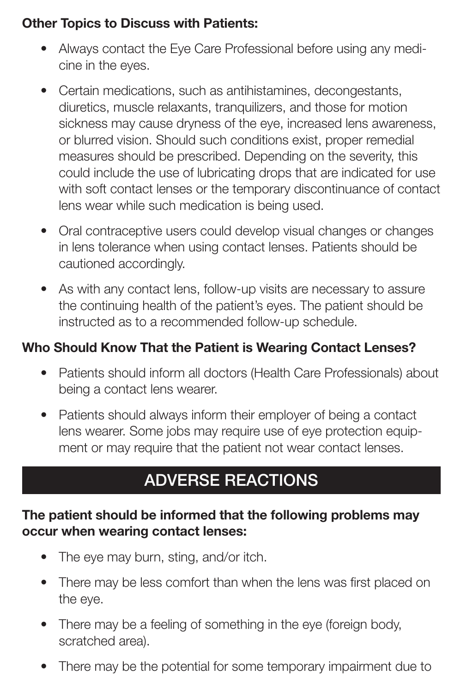#### **Other Topics to Discuss with Patients:**

- Always contact the Eye Care Professional before using any medicine in the eyes.
- Certain medications, such as antihistamines, decongestants, diuretics, muscle relaxants, tranquilizers, and those for motion sickness may cause dryness of the eye, increased lens awareness, or blurred vision. Should such conditions exist, proper remedial measures should be prescribed. Depending on the severity, this could include the use of lubricating drops that are indicated for use with soft contact lenses or the temporary discontinuance of contact lens wear while such medication is being used.
- Oral contraceptive users could develop visual changes or changes in lens tolerance when using contact lenses. Patients should be cautioned accordingly.
- As with any contact lens, follow-up visits are necessary to assure the continuing health of the patient's eyes. The patient should be instructed as to a recommended follow-up schedule.

## **Who Should Know That the Patient is Wearing Contact Lenses?**

- Patients should inform all doctors (Health Care Professionals) about being a contact lens wearer.
- Patients should always inform their employer of being a contact lens wearer. Some jobs may require use of eye protection equipment or may require that the patient not wear contact lenses.

# **ADVERSE REACTIONS**

#### **The patient should be informed that the following problems may occur when wearing contact lenses:**

- The eye may burn, sting, and/or itch.
- There may be less comfort than when the lens was first placed on the eye.
- There may be a feeling of something in the eye (foreign body, scratched area).
- There may be the potential for some temporary impairment due to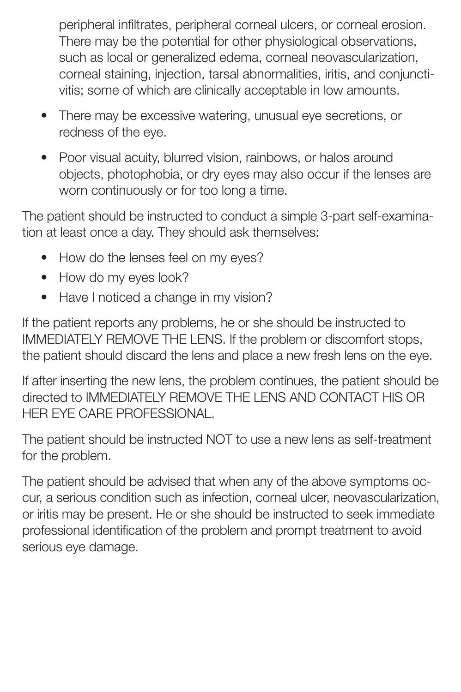peripheral infiltrates, peripheral corneal ulcers, or corneal erosion. There may be the potential for other physiological observations, such as local or generalized edema, corneal neovascularization, corneal staining, injection, tarsal abnormalities, iritis, and conjunctivitis; some of which are clinically acceptable in low amounts.

- There may be excessive watering, unusual eye secretions, or redness of the eye.
- Poor visual acuity, blurred vision, rainbows, or halos around objects, photophobia, or dry eyes may also occur if the lenses are worn continuously or for too long a time.

The patient should be instructed to conduct a simple 3-part self-examination at least once a day. They should ask themselves:

- How do the lenses feel on my eyes?
- How do my eyes look?
- Have I noticed a change in my vision?

If the patient reports any problems, he or she should be instructed to IMMEDIATELY REMOVE THE LENS. If the problem or discomfort stops, the patient should discard the lens and place a new fresh lens on the eye.

If after inserting the new lens, the problem continues, the patient should be directed to IMMEDIATELY REMOVE THE LENS AND CONTACT HIS OR HER EYE CARE PROFESSIONAL.

The patient should be instructed NOT to use a new lens as self-treatment for the problem.

The patient should be advised that when any of the above symptoms occur, a serious condition such as infection, corneal ulcer, neovascularization, or iritis may be present. He or she should be instructed to seek immediate professional identification of the problem and prompt treatment to avoid serious eye damage.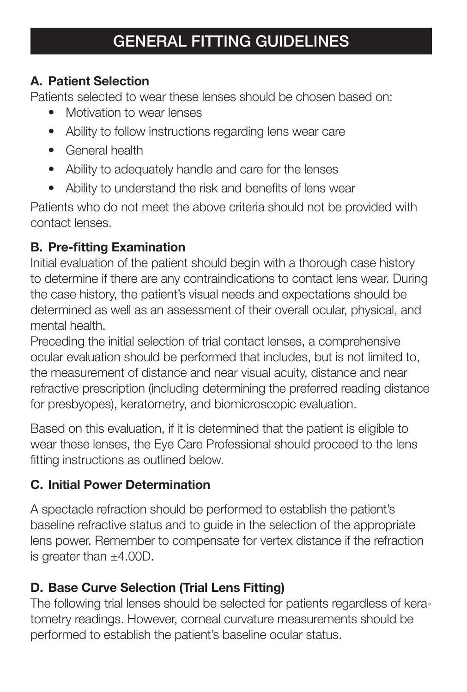#### **GENERAL FITTING GUIDELINES**

#### **A. Patient Selection**

Patients selected to wear these lenses should be chosen based on:

- Motivation to wear lenses
- Ability to follow instructions regarding lens wear care
- General health
- Ability to adequately handle and care for the lenses
- Ability to understand the risk and benefits of lens wear

Patients who do not meet the above criteria should not be provided with contact lenses.

#### **B. Pre-fitting Examination**

Initial evaluation of the patient should begin with a thorough case history to determine if there are any contraindications to contact lens wear. During the case history, the patient's visual needs and expectations should be determined as well as an assessment of their overall ocular, physical, and mental health.

Preceding the initial selection of trial contact lenses, a comprehensive ocular evaluation should be performed that includes, but is not limited to, the measurement of distance and near visual acuity, distance and near refractive prescription (including determining the preferred reading distance for presbyopes), keratometry, and biomicroscopic evaluation.

Based on this evaluation, if it is determined that the patient is eligible to wear these lenses, the Eye Care Professional should proceed to the lens fitting instructions as outlined below.

#### **C. Initial Power Determination**

A spectacle refraction should be performed to establish the patient's baseline refractive status and to guide in the selection of the appropriate lens power. Remember to compensate for vertex distance if the refraction is greater than ±4.00D.

#### **D. Base Curve Selection (Trial Lens Fitting)**

The following trial lenses should be selected for patients regardless of keratometry readings. However, corneal curvature measurements should be performed to establish the patient's baseline ocular status.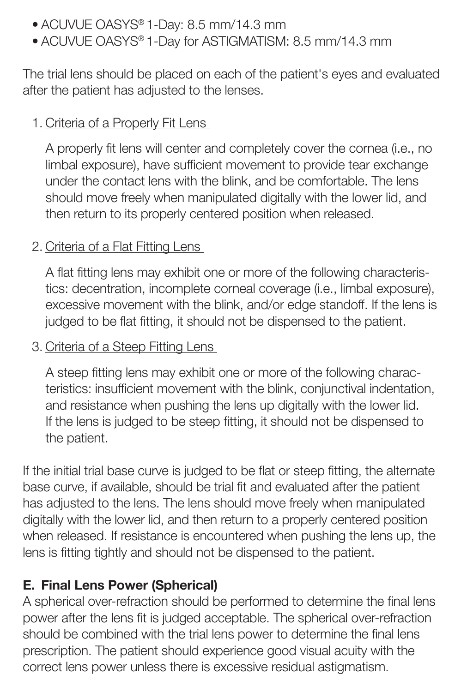- ACUVUE OASYS® 1-Day: 8.5 mm/14.3 mm
- ACUVUE OASYS® 1-Day for ASTIGMATISM: 8.5 mm/14.3 mm

The trial lens should be placed on each of the patient's eyes and evaluated after the patient has adjusted to the lenses.

#### 1. Criteria of a Properly Fit Lens

A properly fit lens will center and completely cover the cornea (i.e., no limbal exposure), have sufficient movement to provide tear exchange under the contact lens with the blink, and be comfortable. The lens should move freely when manipulated digitally with the lower lid, and then return to its properly centered position when released.

#### 2. Criteria of a Flat Fitting Lens

A flat fitting lens may exhibit one or more of the following characteristics: decentration, incomplete corneal coverage (i.e., limbal exposure), excessive movement with the blink, and/or edge standoff. If the lens is judged to be flat fitting, it should not be dispensed to the patient.

#### 3. Criteria of a Steep Fitting Lens

A steep fitting lens may exhibit one or more of the following characteristics: insufficient movement with the blink, conjunctival indentation, and resistance when pushing the lens up digitally with the lower lid. If the lens is judged to be steep fitting, it should not be dispensed to the patient.

If the initial trial base curve is judged to be flat or steep fitting, the alternate base curve, if available, should be trial fit and evaluated after the patient has adjusted to the lens. The lens should move freely when manipulated digitally with the lower lid, and then return to a properly centered position when released. If resistance is encountered when pushing the lens up, the lens is fitting tightly and should not be dispensed to the patient.

#### **E. Final Lens Power (Spherical)**

A spherical over-refraction should be performed to determine the final lens power after the lens fit is judged acceptable. The spherical over-refraction should be combined with the trial lens power to determine the final lens prescription. The patient should experience good visual acuity with the correct lens power unless there is excessive residual astigmatism.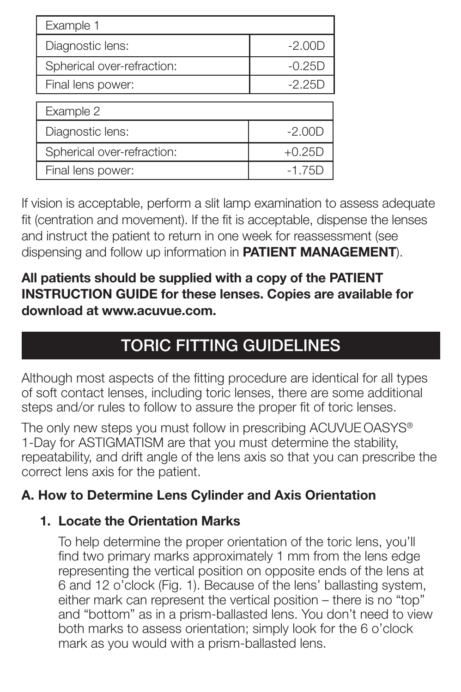| Example 1                  |          |  |
|----------------------------|----------|--|
| Diagnostic lens:           | $-2.00D$ |  |
| Spherical over-refraction: | $-0.25D$ |  |
| Final lens power:          | $-2.25D$ |  |
|                            |          |  |
| Example 2                  |          |  |
| Diagnostic lens:           | $-2.00D$ |  |
| Spherical over-refraction: | $+0.25D$ |  |
| Final lens power:          | $-1.75D$ |  |

If vision is acceptable, perform a slit lamp examination to assess adequate fit (centration and movement). If the fit is acceptable, dispense the lenses and instruct the patient to return in one week for reassessment (see dispensing and follow up information in **PATIENT MANAGEMENT**).

#### **All patients should be supplied with a copy of the PATIENT INSTRUCTION GUIDE for these lenses. Copies are available for download at www.acuvue.com.**

# **TORIC FITTING GUIDELINES**

Although most aspects of the fitting procedure are identical for all types of soft contact lenses, including toric lenses, there are some additional steps and/or rules to follow to assure the proper fit of toric lenses.

The only new steps you must follow in prescribing ACUVUE OASYS® 1-Day for ASTIGMATISM are that you must determine the stability, repeatability, and drift angle of the lens axis so that you can prescribe the correct lens axis for the patient.

## **A. How to Determine Lens Cylinder and Axis Orientation**

#### **1. Locate the Orientation Marks**

To help determine the proper orientation of the toric lens, you'll find two primary marks approximately 1 mm from the lens edge representing the vertical position on opposite ends of the lens at 6 and 12 o'clock (Fig. 1). Because of the lens' ballasting system, either mark can represent the vertical position – there is no "top" and "bottom" as in a prism-ballasted lens. You don't need to view both marks to assess orientation; simply look for the 6 o'clock mark as you would with a prism-ballasted lens.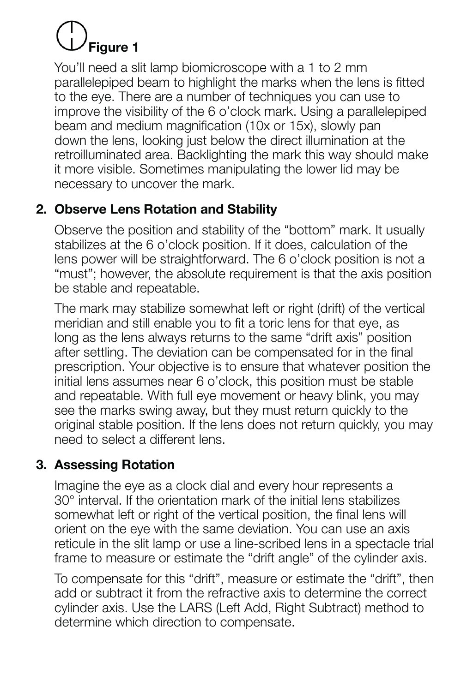# **Figure 1**

You'll need a slit lamp biomicroscope with a 1 to 2 mm parallelepiped beam to highlight the marks when the lens is fitted to the eye. There are a number of techniques you can use to improve the visibility of the 6 o'clock mark. Using a parallelepiped beam and medium magnification (10x or 15x), slowly pan down the lens, looking just below the direct illumination at the retroilluminated area. Backlighting the mark this way should make it more visible. Sometimes manipulating the lower lid may be necessary to uncover the mark.

## **2. Observe Lens Rotation and Stability**

Observe the position and stability of the "bottom" mark. It usually stabilizes at the 6 o'clock position. If it does, calculation of the lens power will be straightforward. The 6 o'clock position is not a "must"; however, the absolute requirement is that the axis position be stable and repeatable.

The mark may stabilize somewhat left or right (drift) of the vertical meridian and still enable you to fit a toric lens for that eye, as long as the lens always returns to the same "drift axis" position after settling. The deviation can be compensated for in the final prescription. Your objective is to ensure that whatever position the initial lens assumes near 6 o'clock, this position must be stable and repeatable. With full eye movement or heavy blink, you may see the marks swing away, but they must return quickly to the original stable position. If the lens does not return quickly, you may need to select a different lens.

## **3. Assessing Rotation**

Imagine the eye as a clock dial and every hour represents a 30° interval. If the orientation mark of the initial lens stabilizes somewhat left or right of the vertical position, the final lens will orient on the eye with the same deviation. You can use an axis reticule in the slit lamp or use a line-scribed lens in a spectacle trial frame to measure or estimate the "drift angle" of the cylinder axis.

To compensate for this "drift", measure or estimate the "drift", then add or subtract it from the refractive axis to determine the correct cylinder axis. Use the LARS (Left Add, Right Subtract) method to determine which direction to compensate.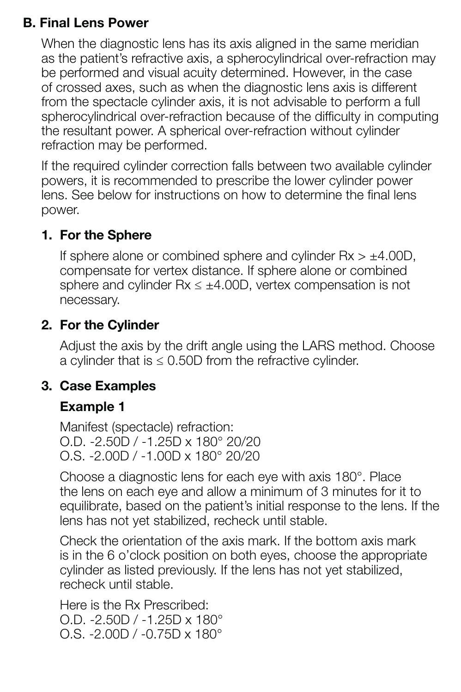#### **B. Final Lens Power**

When the diagnostic lens has its axis aligned in the same meridian as the patient's refractive axis, a spherocylindrical over-refraction may be performed and visual acuity determined. However, in the case of crossed axes, such as when the diagnostic lens axis is different from the spectacle cylinder axis, it is not advisable to perform a full spherocylindrical over-refraction because of the difficulty in computing the resultant power. A spherical over-refraction without cylinder refraction may be performed.

If the required cylinder correction falls between two available cylinder powers, it is recommended to prescribe the lower cylinder power lens. See below for instructions on how to determine the final lens power.

#### **1. For the Sphere**

If sphere alone or combined sphere and cylinder  $Rx > ±4.00D$ , compensate for vertex distance. If sphere alone or combined sphere and cylinder  $Rx \leq \pm 4.00D$ , vertex compensation is not necessary.

#### **2. For the Cylinder**

Adjust the axis by the drift angle using the LARS method. Choose a cylinder that is  $\leq$  0.50D from the refractive cylinder.

#### **3. Case Examples**

#### **Example 1**

Manifest (spectacle) refraction: O.D. -2.50D / -1.25D x 180° 20/20 O.S. -2.00D / -1.00D x 180° 20/20

Choose a diagnostic lens for each eye with axis 180°. Place the lens on each eye and allow a minimum of 3 minutes for it to equilibrate, based on the patient's initial response to the lens. If the lens has not yet stabilized, recheck until stable.

Check the orientation of the axis mark. If the bottom axis mark is in the 6 o'clock position on both eyes, choose the appropriate cylinder as listed previously. If the lens has not yet stabilized, recheck until stable.

Here is the Rx Prescribed: O.D. -2.50D / -1.25D x 180° O.S. -2.00D / -0.75D x 180°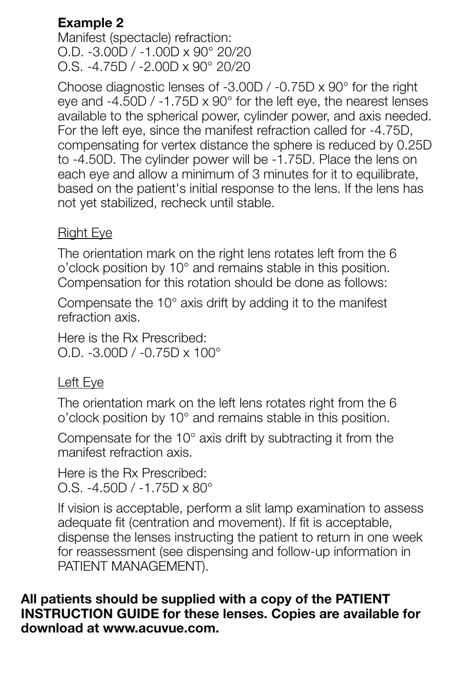## **Example 2**

Manifest (spectacle) refraction: O.D. -3.00D / -1.00D x 90° 20/20 O.S. -4.75D / -2.00D x 90° 20/20

Choose diagnostic lenses of -3.00D / -0.75D x 90° for the right eye and -4.50D / -1.75D x 90° for the left eye, the nearest lenses available to the spherical power, cylinder power, and axis needed. For the left eye, since the manifest refraction called for -4.75D, compensating for vertex distance the sphere is reduced by 0.25D to -4.50D. The cylinder power will be -1.75D. Place the lens on each eye and allow a minimum of 3 minutes for it to equilibrate, based on the patient's initial response to the lens. If the lens has not yet stabilized, recheck until stable.

#### Right Eye

The orientation mark on the right lens rotates left from the 6 o'clock position by 10° and remains stable in this position. Compensation for this rotation should be done as follows:

Compensate the 10° axis drift by adding it to the manifest refraction axis.

Here is the Rx Prescribed: O.D. -3.00D / -0.75D x 100°

#### Left Eye

The orientation mark on the left lens rotates right from the 6 o'clock position by 10° and remains stable in this position.

Compensate for the 10° axis drift by subtracting it from the manifest refraction axis.

Here is the Rx Prescribed: O.S. -4.50D / -1.75D x 80°

If vision is acceptable, perform a slit lamp examination to assess adequate fit (centration and movement). If fit is acceptable, dispense the lenses instructing the patient to return in one week for reassessment (see dispensing and follow-up information in PATIENT MANAGEMENT).

#### **All patients should be supplied with a copy of the PATIENT INSTRUCTION GUIDE for these lenses. Copies are available for download at www.acuvue.com.**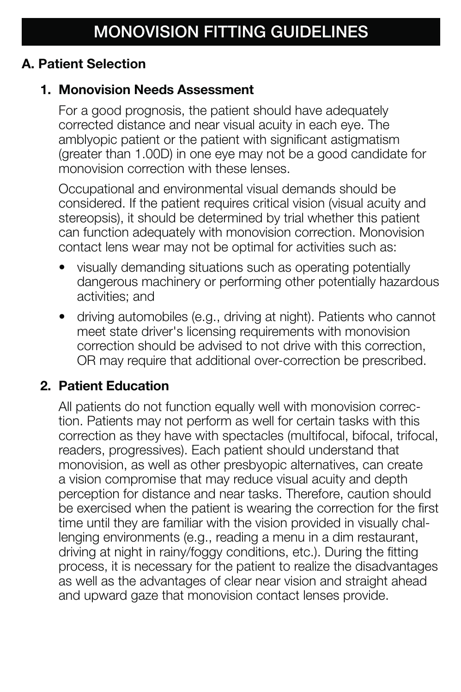#### **A. Patient Selection**

#### **1. Monovision Needs Assessment**

For a good prognosis, the patient should have adequately corrected distance and near visual acuity in each eye. The amblyopic patient or the patient with significant astigmatism (greater than 1.00D) in one eye may not be a good candidate for monovision correction with these lenses.

Occupational and environmental visual demands should be considered. If the patient requires critical vision (visual acuity and stereopsis), it should be determined by trial whether this patient can function adequately with monovision correction. Monovision contact lens wear may not be optimal for activities such as:

- visually demanding situations such as operating potentially dangerous machinery or performing other potentially hazardous activities; and
- driving automobiles (e.g., driving at night). Patients who cannot meet state driver's licensing requirements with monovision correction should be advised to not drive with this correction, OR may require that additional over-correction be prescribed.

## **2. Patient Education**

All patients do not function equally well with monovision correction. Patients may not perform as well for certain tasks with this correction as they have with spectacles (multifocal, bifocal, trifocal, readers, progressives). Each patient should understand that monovision, as well as other presbyopic alternatives, can create a vision compromise that may reduce visual acuity and depth perception for distance and near tasks. Therefore, caution should be exercised when the patient is wearing the correction for the first time until they are familiar with the vision provided in visually challenging environments (e.g., reading a menu in a dim restaurant, driving at night in rainy/foggy conditions, etc.). During the fitting process, it is necessary for the patient to realize the disadvantages as well as the advantages of clear near vision and straight ahead and upward gaze that monovision contact lenses provide.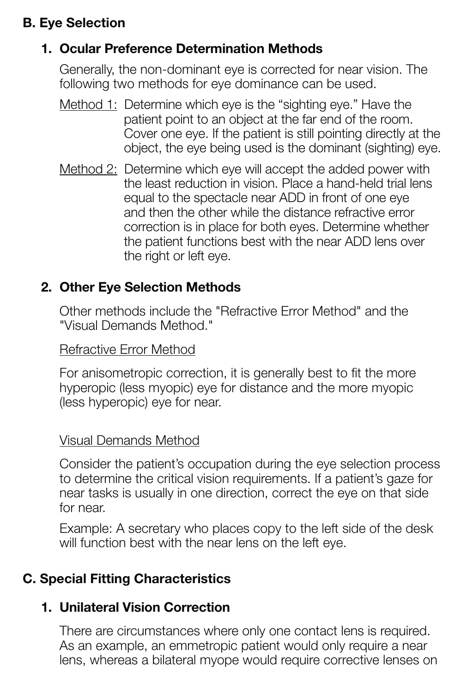## **B. Eye Selection**

#### **1. Ocular Preference Determination Methods**

Generally, the non-dominant eye is corrected for near vision. The following two methods for eye dominance can be used.

- Method 1: Determine which eye is the "sighting eye." Have the patient point to an object at the far end of the room. Cover one eye. If the patient is still pointing directly at the object, the eye being used is the dominant (sighting) eye.
- Method 2: Determine which eye will accept the added power with the least reduction in vision. Place a hand-held trial lens equal to the spectacle near ADD in front of one eye and then the other while the distance refractive error correction is in place for both eyes. Determine whether the patient functions best with the near ADD lens over the right or left eye.

#### **2. Other Eye Selection Methods**

Other methods include the "Refractive Error Method" and the "Visual Demands Method."

#### Refractive Error Method

For anisometropic correction, it is generally best to fit the more hyperopic (less myopic) eye for distance and the more myopic (less hyperopic) eye for near.

#### Visual Demands Method

Consider the patient's occupation during the eye selection process to determine the critical vision requirements. If a patient's gaze for near tasks is usually in one direction, correct the eye on that side for near.

Example: A secretary who places copy to the left side of the desk will function best with the near lens on the left eye.

#### **C. Special Fitting Characteristics**

#### **1. Unilateral Vision Correction**

There are circumstances where only one contact lens is required. As an example, an emmetropic patient would only require a near lens, whereas a bilateral myope would require corrective lenses on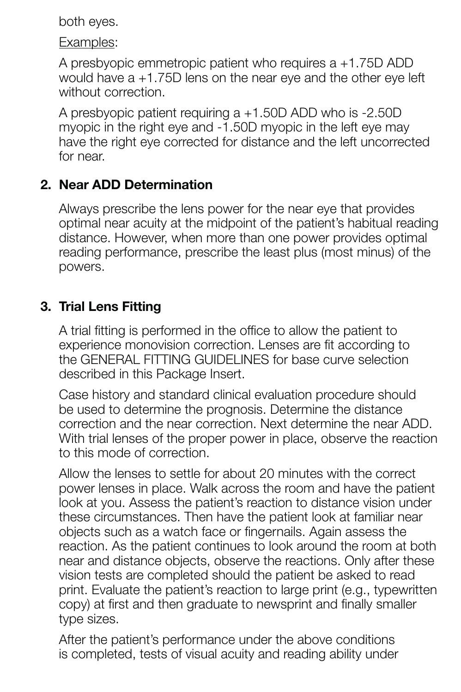both eyes.

Examples:

A presbyopic emmetropic patient who requires a +1.75D ADD would have a +1.75D lens on the near eye and the other eye left without correction.

A presbyopic patient requiring a +1.50D ADD who is -2.50D myopic in the right eye and -1.50D myopic in the left eye may have the right eye corrected for distance and the left uncorrected for near.

#### **2. Near ADD Determination**

Always prescribe the lens power for the near eye that provides optimal near acuity at the midpoint of the patient's habitual reading distance. However, when more than one power provides optimal reading performance, prescribe the least plus (most minus) of the powers.

## **3. Trial Lens Fitting**

A trial fitting is performed in the office to allow the patient to experience monovision correction. Lenses are fit according to the GENERAL FITTING GUIDELINES for base curve selection described in this Package Insert.

Case history and standard clinical evaluation procedure should be used to determine the prognosis. Determine the distance correction and the near correction. Next determine the near ADD. With trial lenses of the proper power in place, observe the reaction to this mode of correction.

Allow the lenses to settle for about 20 minutes with the correct power lenses in place. Walk across the room and have the patient look at you. Assess the patient's reaction to distance vision under these circumstances. Then have the patient look at familiar near objects such as a watch face or fingernails. Again assess the reaction. As the patient continues to look around the room at both near and distance objects, observe the reactions. Only after these vision tests are completed should the patient be asked to read print. Evaluate the patient's reaction to large print (e.g., typewritten copy) at first and then graduate to newsprint and finally smaller type sizes.

After the patient's performance under the above conditions is completed, tests of visual acuity and reading ability under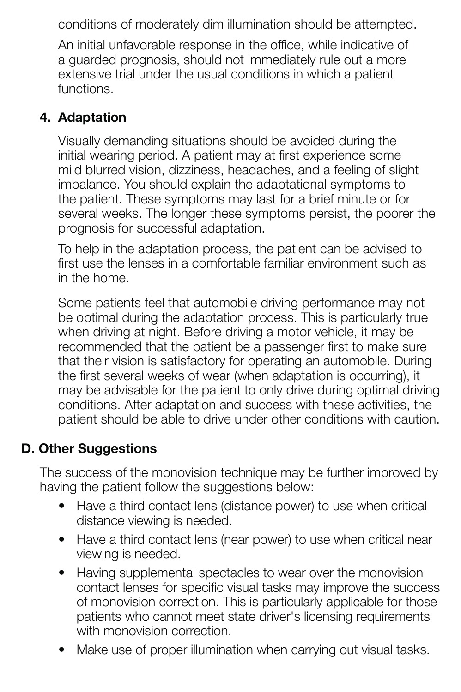conditions of moderately dim illumination should be attempted.

An initial unfavorable response in the office, while indicative of a guarded prognosis, should not immediately rule out a more extensive trial under the usual conditions in which a patient functions.

#### **4. Adaptation**

Visually demanding situations should be avoided during the initial wearing period. A patient may at first experience some mild blurred vision, dizziness, headaches, and a feeling of slight imbalance. You should explain the adaptational symptoms to the patient. These symptoms may last for a brief minute or for several weeks. The longer these symptoms persist, the poorer the prognosis for successful adaptation.

To help in the adaptation process, the patient can be advised to first use the lenses in a comfortable familiar environment such as in the home.

Some patients feel that automobile driving performance may not be optimal during the adaptation process. This is particularly true when driving at night. Before driving a motor vehicle, it may be recommended that the patient be a passenger first to make sure that their vision is satisfactory for operating an automobile. During the first several weeks of wear (when adaptation is occurring), it may be advisable for the patient to only drive during optimal driving conditions. After adaptation and success with these activities, the patient should be able to drive under other conditions with caution.

#### **D. Other Suggestions**

The success of the monovision technique may be further improved by having the patient follow the suggestions below:

- Have a third contact lens (distance power) to use when critical distance viewing is needed.
- Have a third contact lens (near power) to use when critical near viewing is needed.
- Having supplemental spectacles to wear over the monovision contact lenses for specific visual tasks may improve the success of monovision correction. This is particularly applicable for those patients who cannot meet state driver's licensing requirements with monovision correction.
- Make use of proper illumination when carrying out visual tasks.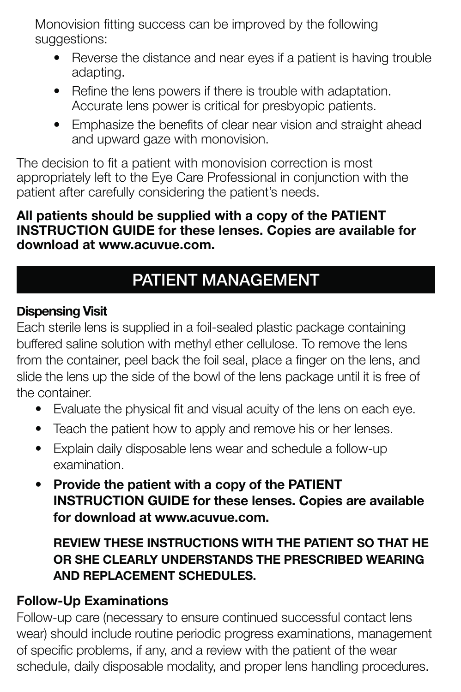Monovision fitting success can be improved by the following suggestions:

- Reverse the distance and near eyes if a patient is having trouble adapting.
- Refine the lens powers if there is trouble with adaptation. Accurate lens power is critical for presbyopic patients.
- Emphasize the benefits of clear near vision and straight ahead and upward gaze with monovision.

The decision to fit a patient with monovision correction is most appropriately left to the Eye Care Professional in conjunction with the patient after carefully considering the patient's needs.

#### **All patients should be supplied with a copy of the PATIENT INSTRUCTION GUIDE for these lenses. Copies are available for download at www.acuvue.com.**

# **PATIENT MANAGEMENT**

#### **Dispensing Visit**

Each sterile lens is supplied in a foil-sealed plastic package containing buffered saline solution with methyl ether cellulose. To remove the lens from the container, peel back the foil seal, place a finger on the lens, and slide the lens up the side of the bowl of the lens package until it is free of the container.

- Evaluate the physical fit and visual acuity of the lens on each eye.
- Teach the patient how to apply and remove his or her lenses.
- Explain daily disposable lens wear and schedule a follow-up examination.
- **Provide the patient with a copy of the PATIENT INSTRUCTION GUIDE for these lenses. Copies are available for download at www.acuvue.com.**

## **REVIEW THESE INSTRUCTIONS WITH THE PATIENT SO THAT HE OR SHE CLEARLY UNDERSTANDS THE PRESCRIBED WEARING AND REPLACEMENT SCHEDULES.**

## **Follow-Up Examinations**

Follow-up care (necessary to ensure continued successful contact lens wear) should include routine periodic progress examinations, management of specific problems, if any, and a review with the patient of the wear schedule, daily disposable modality, and proper lens handling procedures.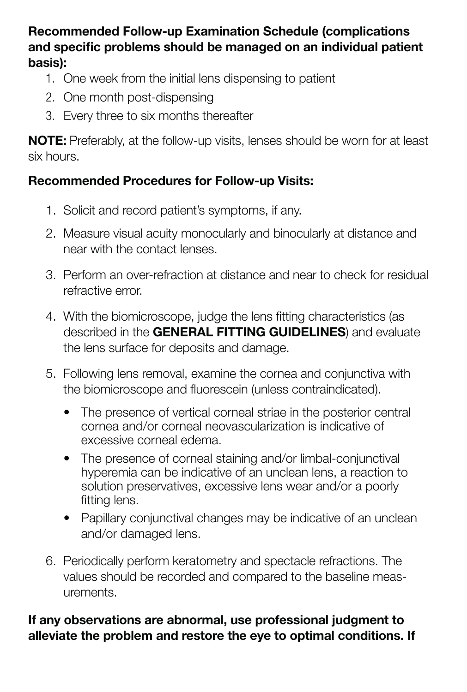#### **Recommended Follow-up Examination Schedule (complications**  and specific problems should be managed on an individual patient **basis):**

- 1. One week from the initial lens dispensing to patient
- 2. One month post-dispensing
- 3. Every three to six months thereafter

**NOTE:** Preferably, at the follow-up visits, lenses should be worn for at least six hours.

#### **Recommended Procedures for Follow-up Visits:**

- 1. Solicit and record patient's symptoms, if any.
- 2. Measure visual acuity monocularly and binocularly at distance and near with the contact lenses.
- 3. Perform an over-refraction at distance and near to check for residual refractive error.
- 4. With the biomicroscope, judge the lens fitting characteristics (as described in the **GENERAL FITTING GUIDELINES**) and evaluate the lens surface for deposits and damage.
- 5. Following lens removal, examine the cornea and conjunctiva with the biomicroscope and fluorescein (unless contraindicated).
	- The presence of vertical corneal striae in the posterior central cornea and/or corneal neovascularization is indicative of excessive corneal edema.
	- The presence of corneal staining and/or limbal-conjunctival hyperemia can be indicative of an unclean lens, a reaction to solution preservatives, excessive lens wear and/or a poorly fitting lens.
	- Papillary conjunctival changes may be indicative of an unclean and/or damaged lens.
- 6. Periodically perform keratometry and spectacle refractions. The values should be recorded and compared to the baseline measurements.

#### **If any observations are abnormal, use professional judgment to alleviate the problem and restore the eye to optimal conditions. If**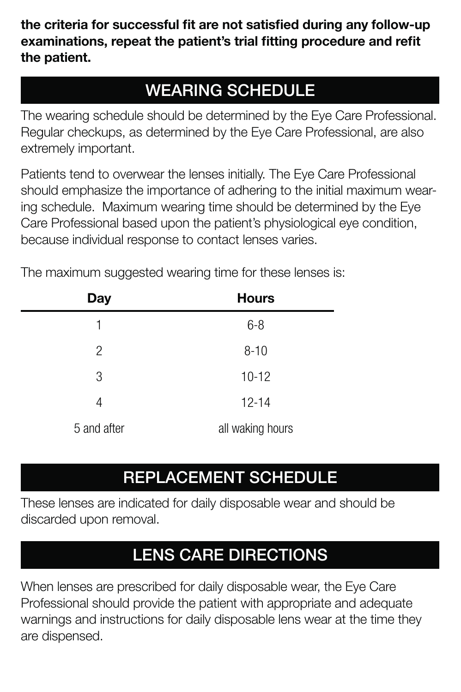the criteria for successful fit are not satisfied during any follow-up examinations, repeat the patient's trial fitting procedure and refit **the patient.**

# **WEARING SCHEDULE**

The wearing schedule should be determined by the Eye Care Professional. Regular checkups, as determined by the Eye Care Professional, are also extremely important.

Patients tend to overwear the lenses initially. The Eye Care Professional should emphasize the importance of adhering to the initial maximum wearing schedule. Maximum wearing time should be determined by the Eye Care Professional based upon the patient's physiological eye condition, because individual response to contact lenses varies.

| <b>Day</b>     | <b>Hours</b>     |
|----------------|------------------|
| 1              | $6 - 8$          |
| $\overline{2}$ | $8 - 10$         |
| 3              | $10 - 12$        |
| 4              | $12 - 14$        |
| 5 and after    | all waking hours |

The maximum suggested wearing time for these lenses is:

# **REPLACEMENT SCHEDULE**

These lenses are indicated for daily disposable wear and should be discarded upon removal.

# **LENS CARE DIRECTIONS**

When lenses are prescribed for daily disposable wear, the Eye Care Professional should provide the patient with appropriate and adequate warnings and instructions for daily disposable lens wear at the time they are dispensed.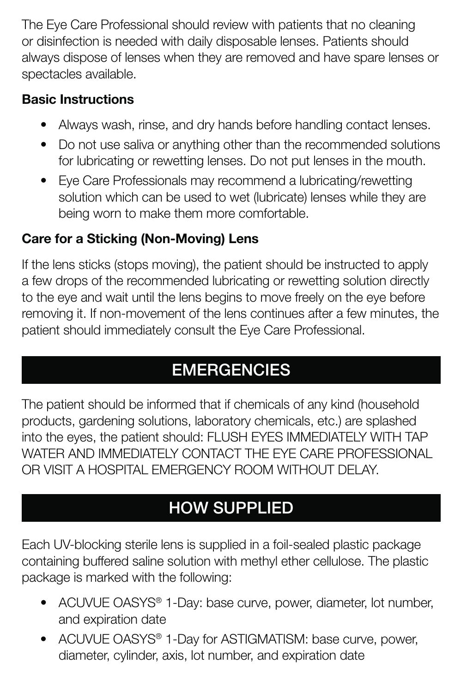The Eye Care Professional should review with patients that no cleaning or disinfection is needed with daily disposable lenses. Patients should always dispose of lenses when they are removed and have spare lenses or spectacles available.

## **Basic Instructions**

- Always wash, rinse, and dry hands before handling contact lenses.
- Do not use saliva or anything other than the recommended solutions for lubricating or rewetting lenses. Do not put lenses in the mouth.
- Eye Care Professionals may recommend a lubricating/rewetting solution which can be used to wet (lubricate) lenses while they are being worn to make them more comfortable.

## **Care for a Sticking (Non-Moving) Lens**

If the lens sticks (stops moving), the patient should be instructed to apply a few drops of the recommended lubricating or rewetting solution directly to the eye and wait until the lens begins to move freely on the eye before removing it. If non-movement of the lens continues after a few minutes, the patient should immediately consult the Eye Care Professional.

# **EMERGENCIES**

The patient should be informed that if chemicals of any kind (household products, gardening solutions, laboratory chemicals, etc.) are splashed into the eyes, the patient should: FLUSH EYES IMMEDIATELY WITH TAP WATER AND IMMEDIATELY CONTACT THE EYE CARE PROFESSIONAL OR VISIT A HOSPITAL EMERGENCY ROOM WITHOUT DELAY.

# **HOW SUPPLIED**

Each UV-blocking sterile lens is supplied in a foil-sealed plastic package containing buffered saline solution with methyl ether cellulose. The plastic package is marked with the following:

- ACUVUE OASYS<sup>®</sup> 1-Day: base curve, power, diameter, lot number, and expiration date
- ACUVUE OASYS® 1-Day for ASTIGMATISM: base curve, power, diameter, cylinder, axis, lot number, and expiration date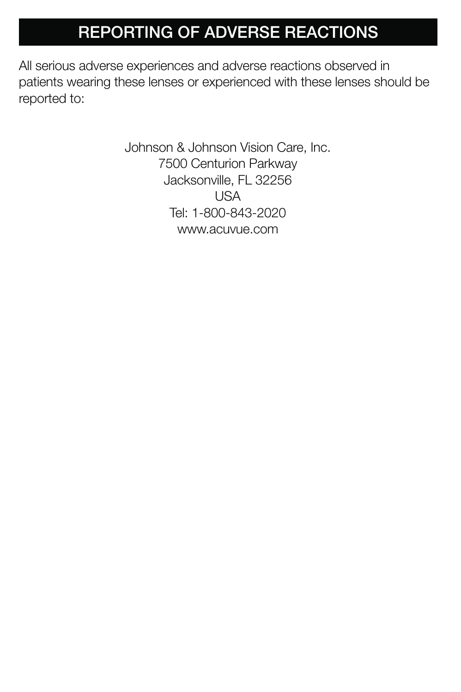# **REPORTING OF ADVERSE REACTIONS**

All serious adverse experiences and adverse reactions observed in patients wearing these lenses or experienced with these lenses should be reported to:

> Johnson & Johnson Vision Care, Inc. 7500 Centurion Parkway Jacksonville, FL 32256 USA Tel: 1-800-843-2020 www.acuvue.com